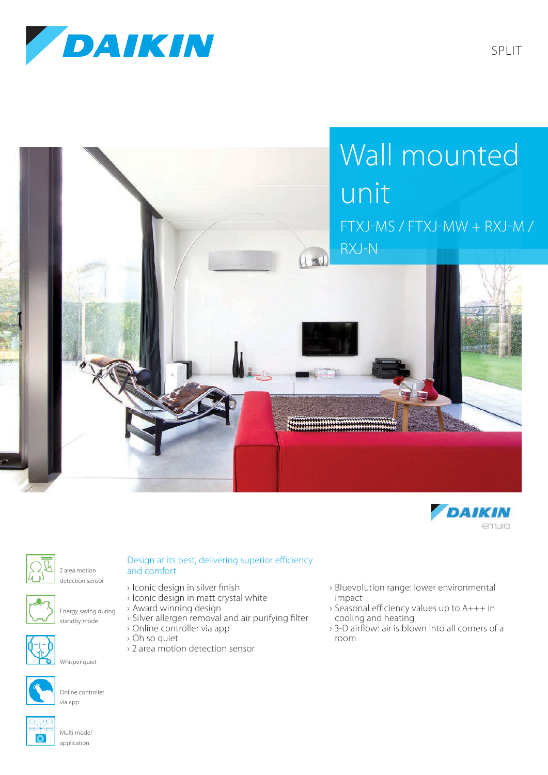

SPLIT







2 area motion detection sensor



Energy saving during standby mode



Whisper quiet



Online controller via app

## Design at its best, delivering superior efficiency and comfort

- › Iconic design in silver finish
- › Iconic design in matt crystal white
- › Award winning design
- › Silver allergen removal and air purifying filter
- › Online controller via app
- › Oh so quiet
- › 2 area motion detection sensor
- › Bluevolution range: lower environmental impact
- › Seasonal efficiency values up to A+++ in cooling and heating
- › 3-D airflow: air is blown into all corners of a room